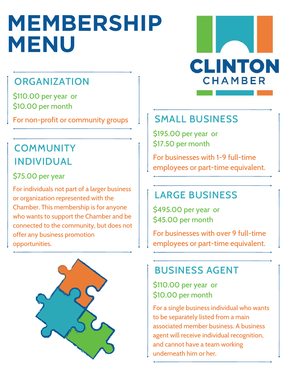# **MEMBERSHIP MENU**

## **ORGANIZATION**

\$110.00 per year or \$10.00 per month

For non-profit or community groups

## **COMMUNITY** INDIVIDUAL

#### \$75.00 per year

For individuals not part of a larger business or organization represented with the Chamber. This membership is for anyone who wants to support the Chamber and be connected to the community, but does not offer any business promotion opportunities.





### SMALL BUSINESS

\$195.00 per year or \$17.50 per month

For businesses with 1-9 full-time employees or part-time equivalent.

## LARGE BUSINESS

\$495.00 per year or \$45.00 per month

For businesses with over 9 full-time employees or part-time equivalent.

### BUSINESS AGENT

\$110.00 per year or \$10.00 per month

For a single business individual who wants to be separately listed from a main associated member business. A business agent will receive individual recognition, and cannot have a team working underneath him or her.